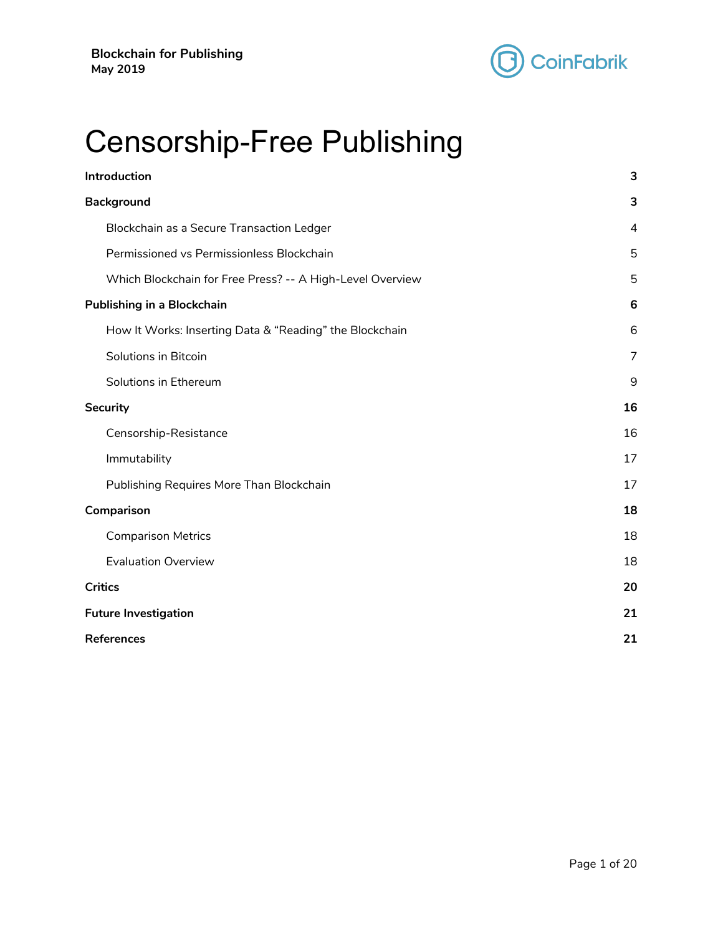

# Censorship-Free Publishing

| Introduction                                              | 3              |
|-----------------------------------------------------------|----------------|
| <b>Background</b>                                         | 3              |
| Blockchain as a Secure Transaction Ledger                 | $\overline{4}$ |
| Permissioned vs Permissionless Blockchain                 | 5              |
| Which Blockchain for Free Press? -- A High-Level Overview | 5              |
| <b>Publishing in a Blockchain</b>                         | 6              |
| How It Works: Inserting Data & "Reading" the Blockchain   | 6              |
| Solutions in Bitcoin                                      | 7              |
| Solutions in Ethereum                                     | 9              |
| <b>Security</b>                                           | 16             |
| Censorship-Resistance                                     | 16             |
| Immutability                                              | 17             |
| Publishing Requires More Than Blockchain                  | 17             |
| Comparison                                                | 18             |
| <b>Comparison Metrics</b>                                 | 18             |
| <b>Evaluation Overview</b>                                | 18             |
| <b>Critics</b>                                            | 20             |
| <b>Future Investigation</b>                               | 21             |
| <b>References</b>                                         | 21             |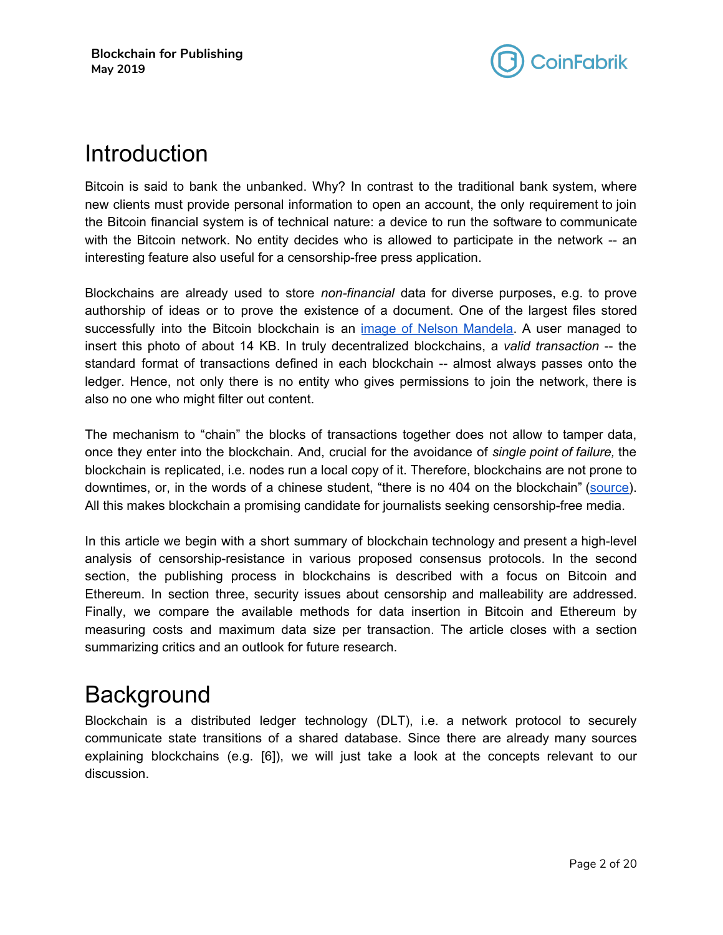

# <span id="page-1-0"></span>Introduction

Bitcoin is said to bank the unbanked. Why? In contrast to the traditional bank system, where new clients must provide personal information to open an account, the only requirement to join the Bitcoin financial system is of technical nature: a device to run the software to communicate with the Bitcoin network. No entity decides who is allowed to participate in the network -- an interesting feature also useful for a censorship-free press application.

Blockchains are already used to store *non-financial* data for diverse purposes, e.g. to prove authorship of ideas or to prove the existence of a document. One of the largest files stored successfully into the Bitcoin blockchain is an image of Nelson [Mandela.](http://static.righto.com/images/bitcoin/Nelson_Mandela.jpg) A user managed to insert this photo of about 14 KB. In truly decentralized blockchains, a *valid transaction* -- the standard format of transactions defined in each blockchain -- almost always passes onto the ledger. Hence, not only there is no entity who gives permissions to join the network, there is also no one who might filter out content.

The mechanism to "chain" the blocks of transactions together does not allow to tamper data, once they enter into the blockchain. And, crucial for the avoidance of *single point of failure,* the blockchain is replicated, i.e. nodes run a local copy of it. Therefore, blockchains are not prone to downtimes, or, in the words of a chinese student, "there is no 404 on the blockchain" ([source](http://fortune.com/2018/07/26/blockchain-technology-cryptocurrency-ethereum-censorship-free-speech/)). All this makes blockchain a promising candidate for journalists seeking censorship-free media.

In this article we begin with a short summary of blockchain technology and present a high-level analysis of censorship-resistance in various proposed consensus protocols. In the second section, the publishing process in blockchains is described with a focus on Bitcoin and Ethereum. In section three, security issues about censorship and malleability are addressed. Finally, we compare the available methods for data insertion in Bitcoin and Ethereum by measuring costs and maximum data size per transaction. The article closes with a section summarizing critics and an outlook for future research.

# <span id="page-1-1"></span>**Background**

Blockchain is a distributed ledger technology (DLT), i.e. a network protocol to securely communicate state transitions of a shared database. Since there are already many sources explaining blockchains (e.g. [6]), we will just take a look at the concepts relevant to our discussion.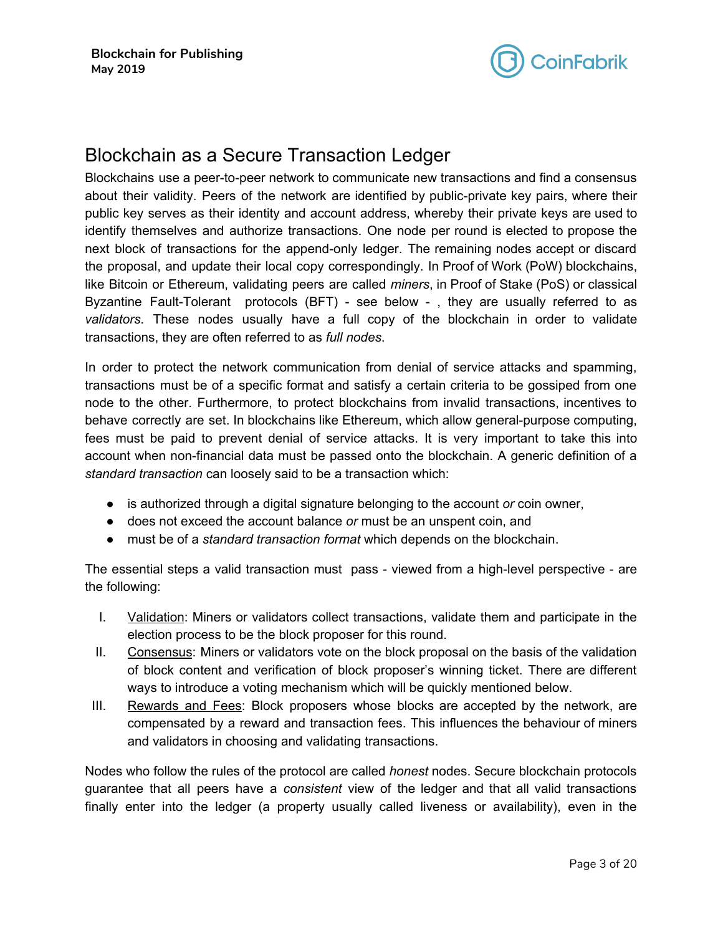

### <span id="page-2-0"></span>Blockchain as a Secure Transaction Ledger

Blockchains use a peer-to-peer network to communicate new transactions and find a consensus about their validity. Peers of the network are identified by public-private key pairs, where their public key serves as their identity and account address, whereby their private keys are used to identify themselves and authorize transactions. One node per round is elected to propose the next block of transactions for the append-only ledger. The remaining nodes accept or discard the proposal, and update their local copy correspondingly. In Proof of Work (PoW) blockchains, like Bitcoin or Ethereum, validating peers are called *miners*, in Proof of Stake (PoS) or classical Byzantine Fault-Tolerant protocols (BFT) - see below - , they are usually referred to as *validators*. These nodes usually have a full copy of the blockchain in order to validate transactions, they are often referred to as *full nodes*.

In order to protect the network communication from denial of service attacks and spamming, transactions must be of a specific format and satisfy a certain criteria to be gossiped from one node to the other. Furthermore, to protect blockchains from invalid transactions, incentives to behave correctly are set. In blockchains like Ethereum, which allow general-purpose computing, fees must be paid to prevent denial of service attacks. It is very important to take this into account when non-financial data must be passed onto the blockchain. A generic definition of a *standard transaction* can loosely said to be a transaction which:

- is authorized through a digital signature belonging to the account *or* coin owner,
- does not exceed the account balance *or* must be an unspent coin, and
- must be of a *standard transaction format* which depends on the blockchain.

The essential steps a valid transaction must pass - viewed from a high-level perspective - are the following:

- I. Validation: Miners or validators collect transactions, validate them and participate in the election process to be the block proposer for this round.
- II. Consensus: Miners or validators vote on the block proposal on the basis of the validation of block content and verification of block proposer's winning ticket. There are different ways to introduce a voting mechanism which will be quickly mentioned below.
- III. Rewards and Fees: Block proposers whose blocks are accepted by the network, are compensated by a reward and transaction fees. This influences the behaviour of miners and validators in choosing and validating transactions.

Nodes who follow the rules of the protocol are called *honest* nodes. Secure blockchain protocols guarantee that all peers have a *consistent* view of the ledger and that all valid transactions finally enter into the ledger (a property usually called liveness or availability), even in the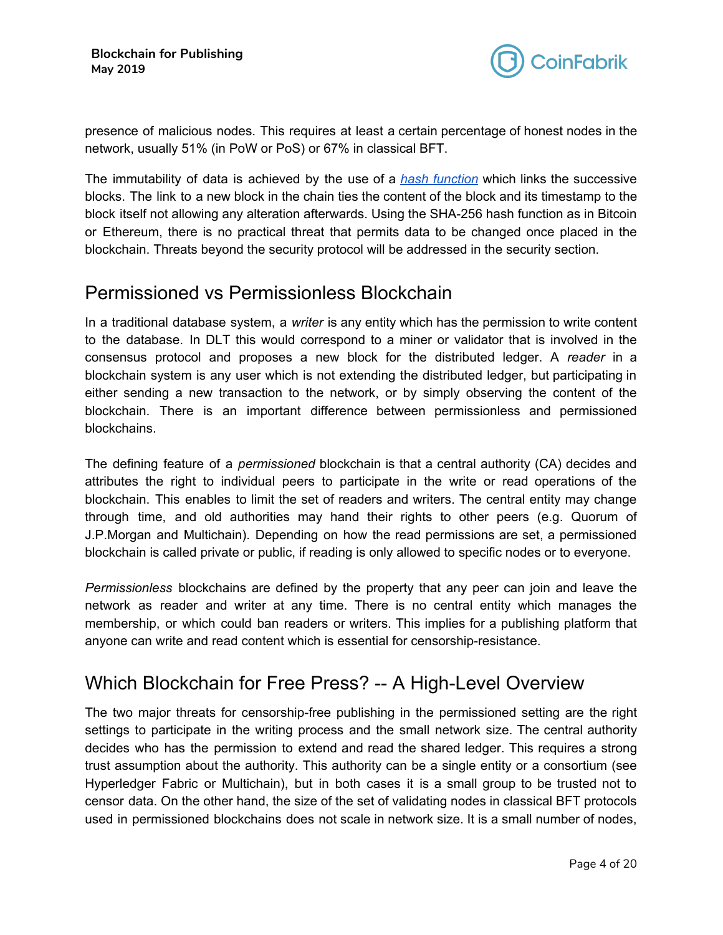

presence of malicious nodes. This requires at least a certain percentage of honest nodes in the network, usually 51% (in PoW or PoS) or 67% in classical BFT.

The immutability of data is achieved by the use of a *hash [function](https://en.wikipedia.org/wiki/Hash_function)* which links the successive blocks. The link to a new block in the chain ties the content of the block and its timestamp to the block itself not allowing any alteration afterwards. Using the SHA-256 hash function as in Bitcoin or Ethereum, there is no practical threat that permits data to be changed once placed in the blockchain. Threats beyond the security protocol will be addressed in the security section.

### <span id="page-3-0"></span>Permissioned vs Permissionless Blockchain

In a traditional database system, a *writer* is any entity which has the permission to write content to the database. In DLT this would correspond to a miner or validator that is involved in the consensus protocol and proposes a new block for the distributed ledger. A *reader* in a blockchain system is any user which is not extending the distributed ledger, but participating in either sending a new transaction to the network, or by simply observing the content of the blockchain. There is an important difference between permissionless and permissioned blockchains.

The defining feature of a *permissioned* blockchain is that a central authority (CA) decides and attributes the right to individual peers to participate in the write or read operations of the blockchain. This enables to limit the set of readers and writers. The central entity may change through time, and old authorities may hand their rights to other peers (e.g. Quorum of J.P.Morgan and Multichain). Depending on how the read permissions are set, a permissioned blockchain is called private or public, if reading is only allowed to specific nodes or to everyone.

*Permissionless* blockchains are defined by the property that any peer can join and leave the network as reader and writer at any time. There is no central entity which manages the membership, or which could ban readers or writers. This implies for a publishing platform that anyone can write and read content which is essential for censorship-resistance.

# <span id="page-3-1"></span>Which Blockchain for Free Press? -- A High-Level Overview

The two major threats for censorship-free publishing in the permissioned setting are the right settings to participate in the writing process and the small network size. The central authority decides who has the permission to extend and read the shared ledger. This requires a strong trust assumption about the authority. This authority can be a single entity or a consortium (see Hyperledger Fabric or Multichain), but in both cases it is a small group to be trusted not to censor data. On the other hand, the size of the set of validating nodes in classical BFT protocols used in permissioned blockchains does not scale in network size. It is a small number of nodes,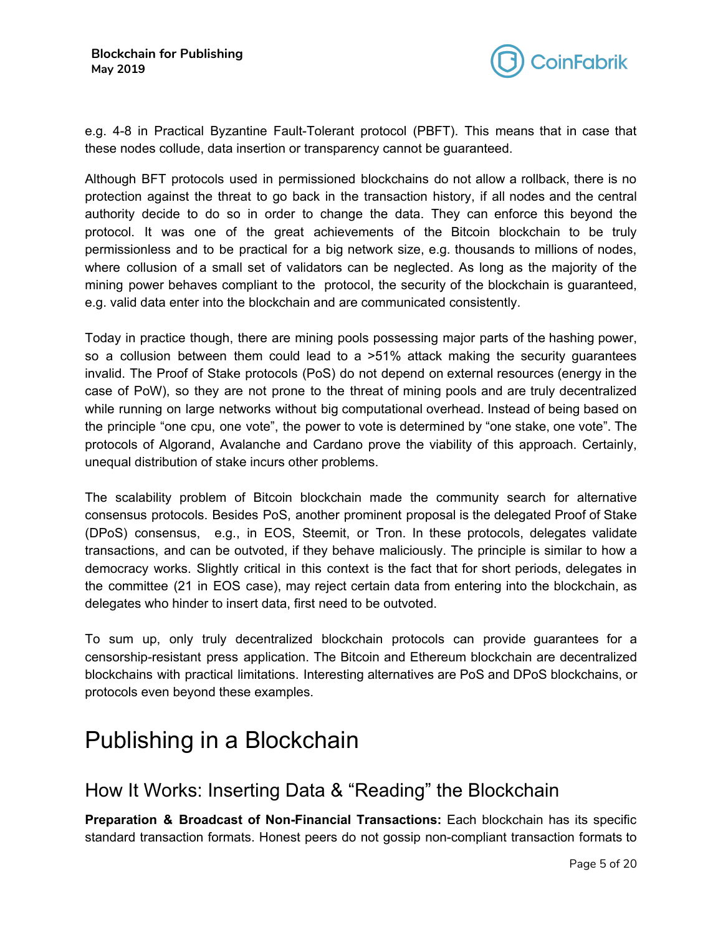

e.g. 4-8 in Practical Byzantine Fault-Tolerant protocol (PBFT). This means that in case that these nodes collude, data insertion or transparency cannot be guaranteed.

Although BFT protocols used in permissioned blockchains do not allow a rollback, there is no protection against the threat to go back in the transaction history, if all nodes and the central authority decide to do so in order to change the data. They can enforce this beyond the protocol. It was one of the great achievements of the Bitcoin blockchain to be truly permissionless and to be practical for a big network size, e.g. thousands to millions of nodes, where collusion of a small set of validators can be neglected. As long as the majority of the mining power behaves compliant to the protocol, the security of the blockchain is guaranteed, e.g. valid data enter into the blockchain and are communicated consistently.

Today in practice though, there are mining pools possessing major parts of the hashing power, so a collusion between them could lead to a >51% attack making the security guarantees invalid. The Proof of Stake protocols (PoS) do not depend on external resources (energy in the case of PoW), so they are not prone to the threat of mining pools and are truly decentralized while running on large networks without big computational overhead. Instead of being based on the principle "one cpu, one vote", the power to vote is determined by "one stake, one vote". The protocols of Algorand, Avalanche and Cardano prove the viability of this approach. Certainly, unequal distribution of stake incurs other problems.

The scalability problem of Bitcoin blockchain made the community search for alternative consensus protocols. Besides PoS, another prominent proposal is the delegated Proof of Stake (DPoS) consensus, e.g., in EOS, Steemit, or Tron. In these protocols, delegates validate transactions, and can be outvoted, if they behave maliciously. The principle is similar to how a democracy works. Slightly critical in this context is the fact that for short periods, delegates in the committee (21 in EOS case), may reject certain data from entering into the blockchain, as delegates who hinder to insert data, first need to be outvoted.

To sum up, only truly decentralized blockchain protocols can provide guarantees for a censorship-resistant press application. The Bitcoin and Ethereum blockchain are decentralized blockchains with practical limitations. Interesting alternatives are PoS and DPoS blockchains, or protocols even beyond these examples.

# <span id="page-4-0"></span>Publishing in a Blockchain

### <span id="page-4-1"></span>How It Works: Inserting Data & "Reading" the Blockchain

**Preparation & Broadcast of Non-Financial Transactions:** Each blockchain has its specific standard transaction formats. Honest peers do not gossip non-compliant transaction formats to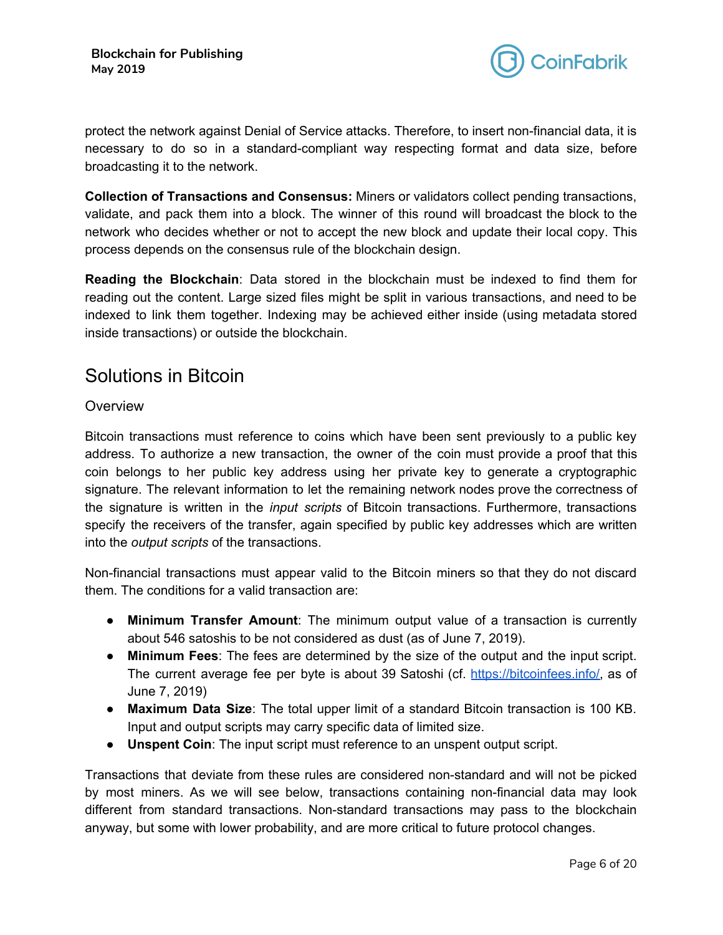

protect the network against Denial of Service attacks. Therefore, to insert non-financial data, it is necessary to do so in a standard-compliant way respecting format and data size, before broadcasting it to the network.

**Collection of Transactions and Consensus:** Miners or validators collect pending transactions, validate, and pack them into a block. The winner of this round will broadcast the block to the network who decides whether or not to accept the new block and update their local copy. This process depends on the consensus rule of the blockchain design.

**Reading the Blockchain**: Data stored in the blockchain must be indexed to find them for reading out the content. Large sized files might be split in various transactions, and need to be indexed to link them together. Indexing may be achieved either inside (using metadata stored inside transactions) or outside the blockchain.

### <span id="page-5-0"></span>Solutions in Bitcoin

#### **Overview**

Bitcoin transactions must reference to coins which have been sent previously to a public key address. To authorize a new transaction, the owner of the coin must provide a proof that this coin belongs to her public key address using her private key to generate a cryptographic signature. The relevant information to let the remaining network nodes prove the correctness of the signature is written in the *input scripts* of Bitcoin transactions. Furthermore, transactions specify the receivers of the transfer, again specified by public key addresses which are written into the *output scripts* of the transactions.

Non-financial transactions must appear valid to the Bitcoin miners so that they do not discard them. The conditions for a valid transaction are:

- **Minimum Transfer Amount**: The minimum output value of a transaction is currently about 546 satoshis to be not considered as dust (as of June 7, 2019).
- **Minimum Fees**: The fees are determined by the size of the output and the input script. The current average fee per byte is about 39 Satoshi (cf. <https://bitcoinfees.info/>, as of June 7, 2019)
- **Maximum Data Size**: The total upper limit of a standard Bitcoin transaction is 100 KB. Input and output scripts may carry specific data of limited size.
- **Unspent Coin**: The input script must reference to an unspent output script.

Transactions that deviate from these rules are considered non-standard and will not be picked by most miners. As we will see below, transactions containing non-financial data may look different from standard transactions. Non-standard transactions may pass to the blockchain anyway, but some with lower probability, and are more critical to future protocol changes.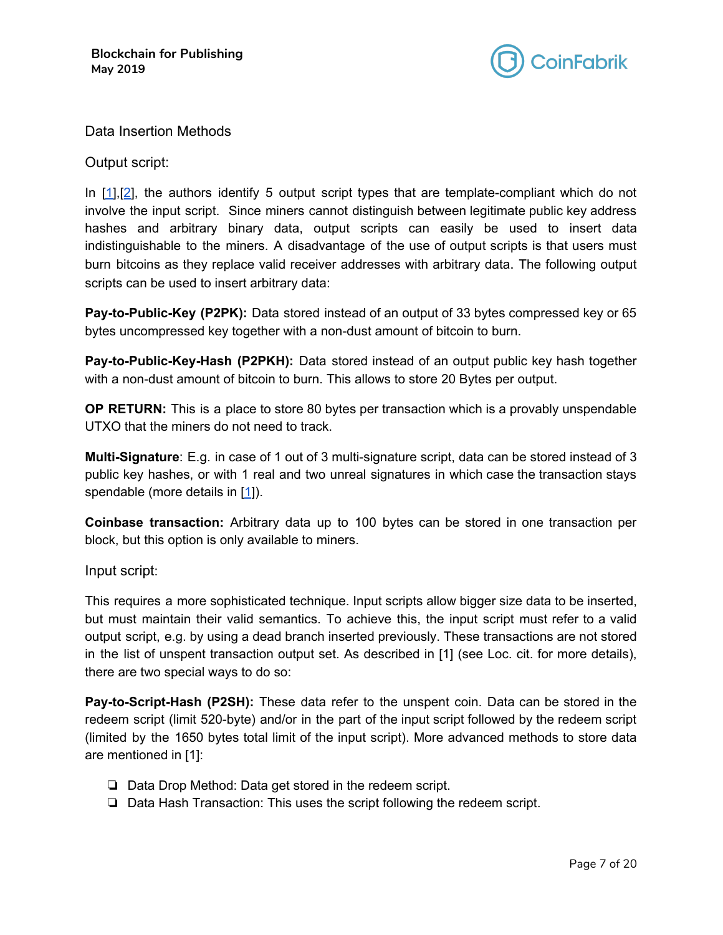

#### Data Insertion Methods

Output script:

In [\[1](#page-19-2)],[[2\]](#page-19-3), the authors identify 5 output script types that are template-compliant which do not involve the input script. Since miners cannot distinguish between legitimate public key address hashes and arbitrary binary data, output scripts can easily be used to insert data indistinguishable to the miners. A disadvantage of the use of output scripts is that users must burn bitcoins as they replace valid receiver addresses with arbitrary data. The following output scripts can be used to insert arbitrary data:

**Pay-to-Public-Key (P2PK):** Data stored instead of an output of 33 bytes compressed key or 65 bytes uncompressed key together with a non-dust amount of bitcoin to burn.

**Pay-to-Public-Key-Hash (P2PKH):** Data stored instead of an output public key hash together with a non-dust amount of bitcoin to burn. This allows to store 20 Bytes per output.

**OP RETURN:** This is a place to store 80 bytes per transaction which is a provably unspendable UTXO that the miners do not need to track.

**Multi-Signature**: E.g. in case of 1 out of 3 multi-signature script, data can be stored instead of 3 public key hashes, or with 1 real and two unreal signatures in which case the transaction stays spendable (more details in [\[1](#page-19-2)]).

**Coinbase transaction:** Arbitrary data up to 100 bytes can be stored in one transaction per block, but this option is only available to miners.

#### Input script:

This requires a more sophisticated technique. Input scripts allow bigger size data to be inserted, but must maintain their valid semantics. To achieve this, the input script must refer to a valid output script, e.g. by using a dead branch inserted previously. These transactions are not stored in the list of unspent transaction output set. As described in [1] (see Loc. cit. for more details), there are two special ways to do so:

**Pay-to-Script-Hash (P2SH):** These data refer to the unspent coin. Data can be stored in the redeem script (limit 520-byte) and/or in the part of the input script followed by the redeem script (limited by the 1650 bytes total limit of the input script). More advanced methods to store data are mentioned in [1]:

- ❏ Data Drop Method: Data get stored in the redeem script.
- ❏ Data Hash Transaction: This uses the script following the redeem script.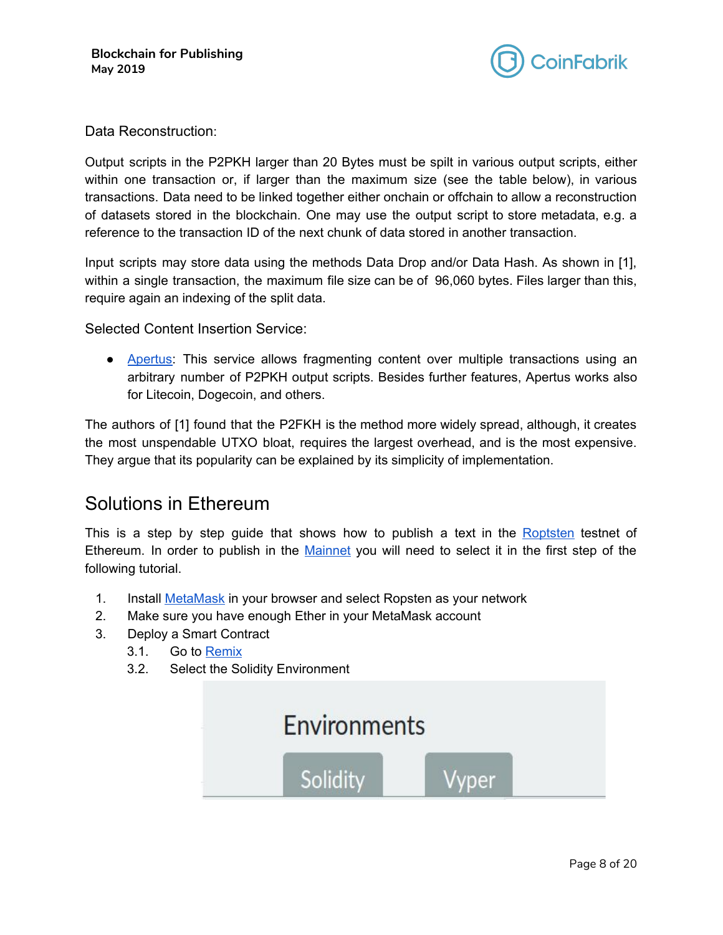

Data Reconstruction:

Output scripts in the P2PKH larger than 20 Bytes must be spilt in various output scripts, either within one transaction or, if larger than the maximum size (see the table below), in various transactions. Data need to be linked together either onchain or offchain to allow a reconstruction of datasets stored in the blockchain. One may use the output script to store metadata, e.g. a reference to the transaction ID of the next chunk of data stored in another transaction.

Input scripts may store data using the methods Data Drop and/or Data Hash. As shown in [1], within a single transaction, the maximum file size can be of 96,060 bytes. Files larger than this, require again an indexing of the split data.

Selected Content Insertion Service:

● [Apertus:](http://apertus.io/) This service allows fragmenting content over multiple transactions using an arbitrary number of P2PKH output scripts. Besides further features, Apertus works also for Litecoin, Dogecoin, and others.

The authors of [1] found that the P2FKH is the method more widely spread, although, it creates the most unspendable UTXO bloat, requires the largest overhead, and is the most expensive. They argue that its popularity can be explained by its simplicity of implementation.

### <span id="page-7-0"></span>Solutions in Ethereum

This is a step by step guide that shows how to publish a text in the [Roptsten](https://ropsten.etherscan.io/) testnet of Ethereum. In order to publish in the [Mainnet](https://etherscan.io/) you will need to select it in the first step of the following tutorial.

- 1. Install [MetaMask](https://metamask.io/) in your browser and select Ropsten as your network
- 2. Make sure you have enough Ether in your MetaMask account
- 3. Deploy a Smart Contract
	- 3.1. Go to [Remix](http://remix.ethereum.org/)
	- 3.2. Select the Solidity Environment

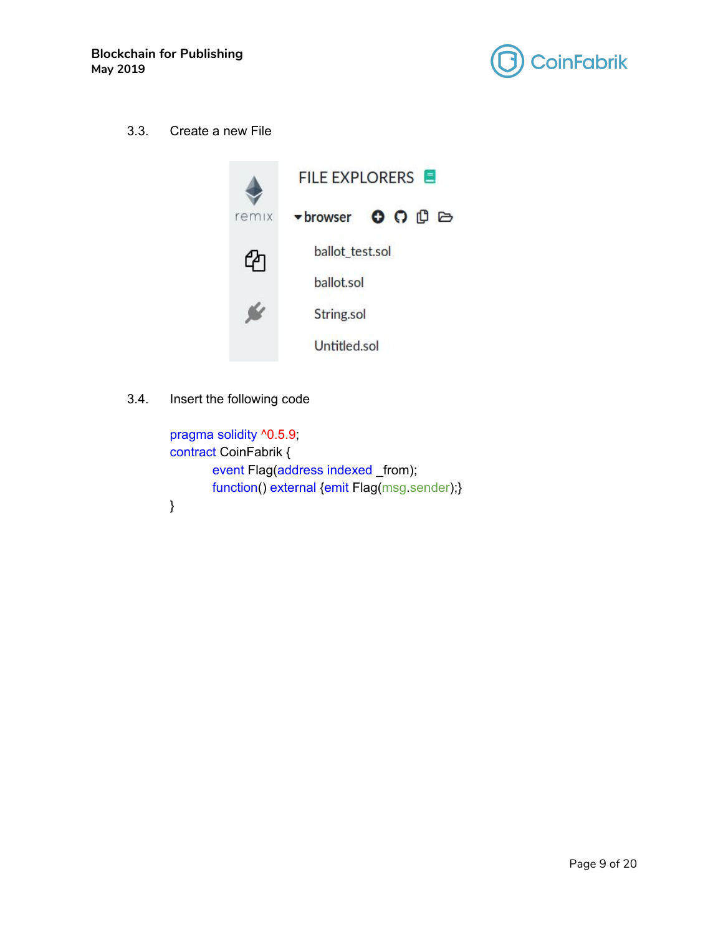

3.3. Create a new File



3.4. Insert the following code

```
pragma solidity ^0.5.9;
contract CoinFabrik {
       event Flag(address indexed _from);
       function() external {emit Flag(msg.sender);}
}
```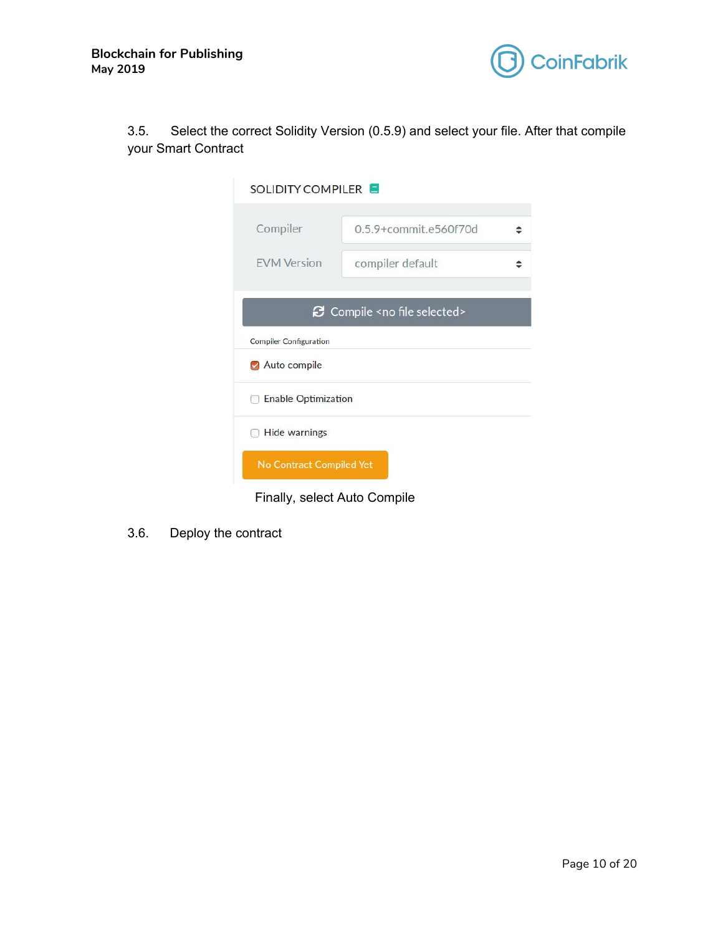



3.5. Select the correct Solidity Version (0.5.9) and select your file. After that compile your Smart Contract

| SOLIDITY COMPILER             |                                       |  |
|-------------------------------|---------------------------------------|--|
| Compiler                      | 0.5.9+commit.e560f70d                 |  |
| <b>EVM Version</b>            | compiler default                      |  |
|                               | Compile <no file="" selected=""></no> |  |
| <b>Compiler Configuration</b> |                                       |  |
| Auto compile                  |                                       |  |
| <b>Enable Optimization</b>    |                                       |  |
| Hide warnings                 |                                       |  |
| No Contract Compiled Yet      |                                       |  |

Finally, select Auto Compile

3.6. Deploy the contract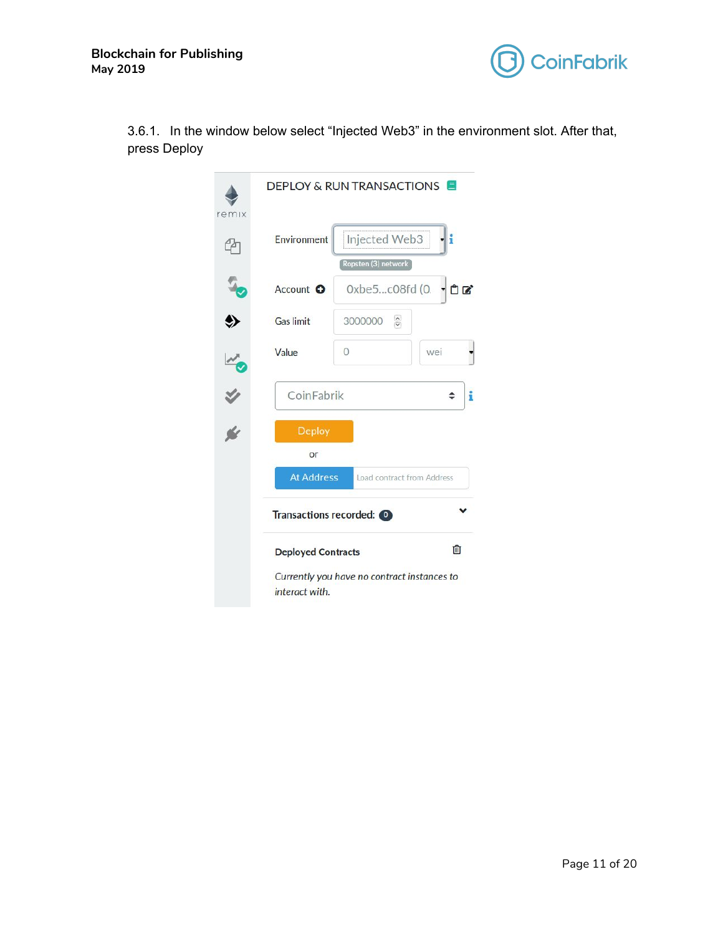

|              | 3.6.1. In the window below select "Injected Web3" in the environment slot. After that, |  |  |  |  |
|--------------|----------------------------------------------------------------------------------------|--|--|--|--|
| press Deploy |                                                                                        |  |  |  |  |

| remix         |                           | <b>DEPLOY &amp; RUN TRANSACTIONS</b>        |        |
|---------------|---------------------------|---------------------------------------------|--------|
| r             | <b>Environment</b>        | Injected Web3                               | i      |
|               | Account O                 | Ropsten (3) network<br>0xbe5c08fd (0.       | ÛØ     |
|               | <b>Gas limit</b>          | $rac{1}{2}$<br>3000000                      |        |
|               | Value                     | $\circ$                                     | wei    |
| $\frac{1}{2}$ | CoinFabrik                |                                             | i<br>÷ |
|               | <b>Deploy</b><br>or       |                                             |        |
|               | <b>At Address</b>         | Load contract from Address                  |        |
|               | Transactions recorded: 0  |                                             |        |
|               | <b>Deployed Contracts</b> |                                             | 血      |
|               | interact with.            | Currently you have no contract instances to |        |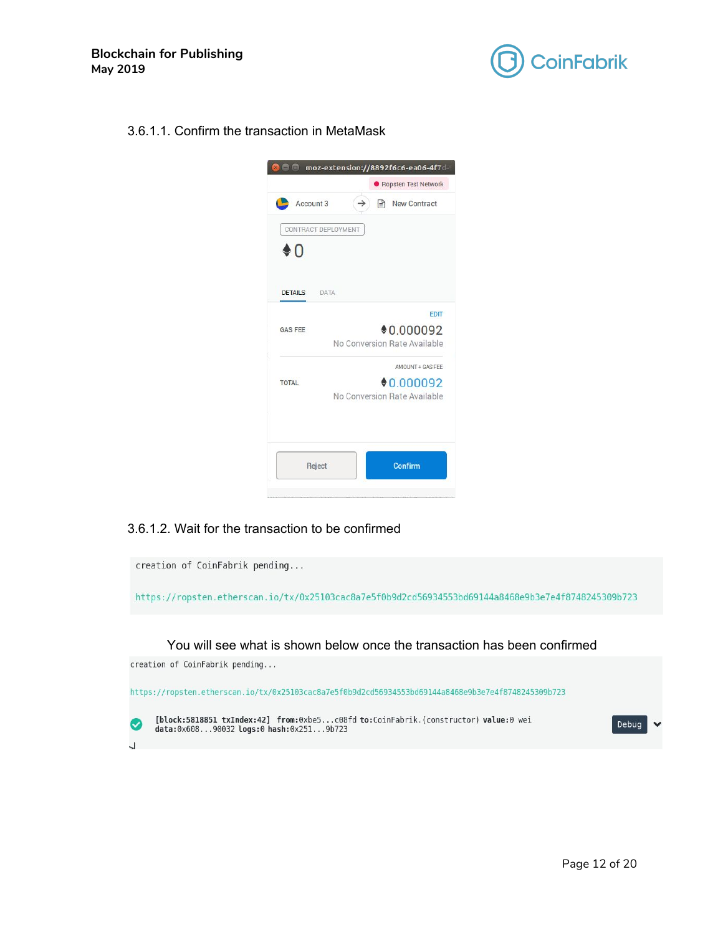

3.6.1.1. Confirm the transaction in MetaMask



#### 3.6.1.2. Wait for the transaction to be confirmed

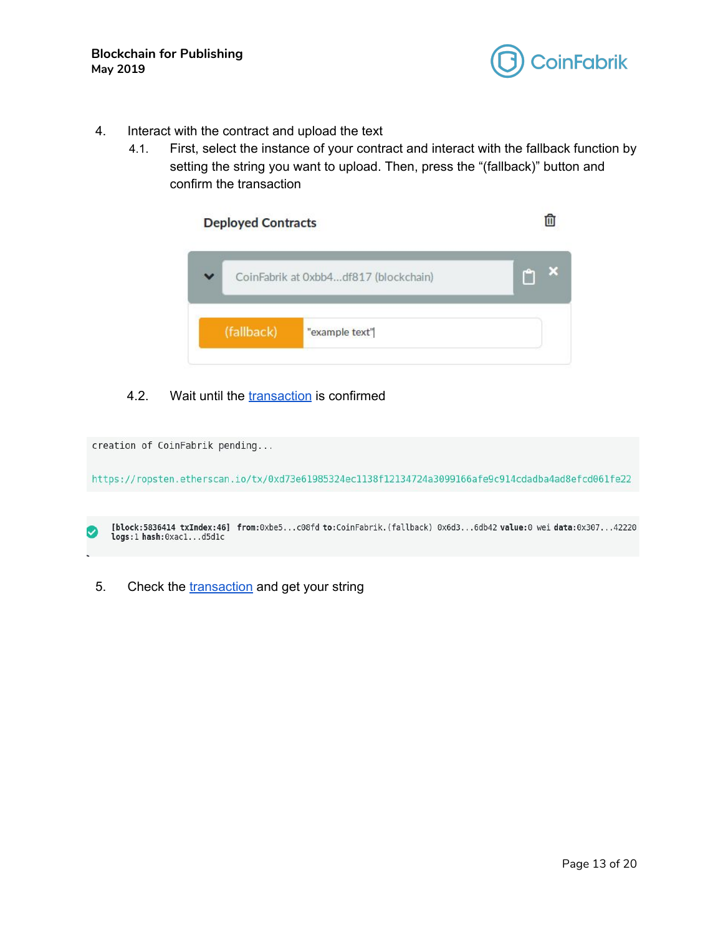

- 4. Interact with the contract and upload the text
	- 4.1. First, select the instance of your contract and interact with the fallback function by setting the string you want to upload. Then, press the "(fallback)" button and confirm the transaction

| <b>Deployed Contracts</b> |                                       |  |
|---------------------------|---------------------------------------|--|
|                           | CoinFabrik at 0xbb4df817 (blockchain) |  |
| (fallback)                | "example text"                        |  |

#### 4.2. Wait until the [transaction](https://ropsten.etherscan.io/tx/0xac1f94d742ebe49e86a37d37298388744b82548d353a709bfcc57bf7e85d5d1c) is confirmed

creation of CoinFabrik pending... https://ropsten.etherscan.io/tx/0xd73e61985324ec1138f12134724a3099166afe9c914cdadba4ad8efcd061fe22 [block:5836414 txIndex:46] from:0xbe5...c08fd to:CoinFabrik.(fallback) 0x6d3...6db42 value:0 wei data:0x307...42220

5. Check the [transaction](https://ropsten.etherscan.io/tx/0xac1f94d742ebe49e86a37d37298388744b82548d353a709bfcc57bf7e85d5d1c) and get your string

logs:1 hash:0xac1...d5d1c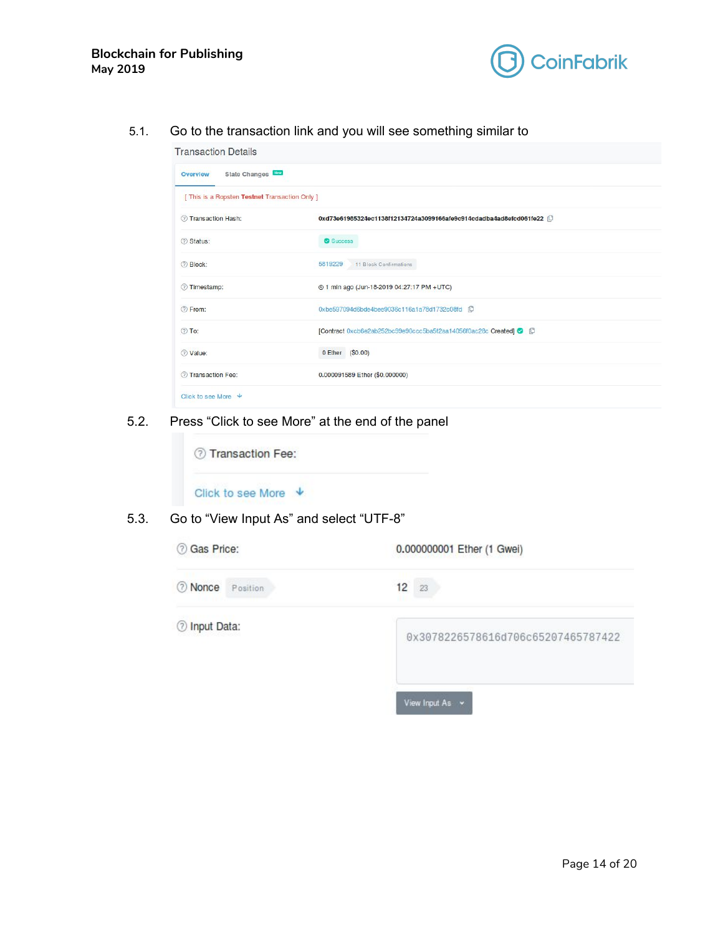

5.1. Go to the transaction link and you will see something similar to

| <b>Transaction Details</b>                     |                                                                    |
|------------------------------------------------|--------------------------------------------------------------------|
| State Changes<br>Overview                      |                                                                    |
| [ This is a Ropsten Testnet Transaction Only ] |                                                                    |
| 7 Transaction Hash:                            | 0xd73e61985324ec1138f12134724a3099166afe9c914cdadba4ad8efcd061fe22 |
| 2 Status:                                      | Success                                                            |
| 2 Block:                                       | 11 Block Confirmations<br>5819229                                  |
| Timestamp:                                     | @ 1 min ago (Jun-18-2019 04:27:17 PM +UTC)                         |
| 2 From:                                        | 0xbe597094d6bde4bee9036c116a1a78d1732c08fd 1D                      |
| $\circledcirc$ To:                             | [Contract 0xcb6e2ab252bc99e90ccc5ba5f2aa14056f0ac28c Created] 2    |
| 2 Value:                                       | 0 Ether (\$0.00)                                                   |
| 7 Transaction Fee:                             | 0.000091589 Ether (\$0.000000)                                     |
| Click to see More $\forall$                    |                                                                    |

5.2. Press "Click to see More" at the end of the panel



#### 5.3. Go to "View Input As" and select "UTF-8"

| <b>O</b> Gas Price:     | 0.000000001 Ether (1 Gwei)         |  |  |
|-------------------------|------------------------------------|--|--|
| <b>O</b> Nonce Position | 12<br>-23                          |  |  |
| <b>O</b> Input Data:    | 0x3078226578616d706c65207465787422 |  |  |
|                         | View Input As v                    |  |  |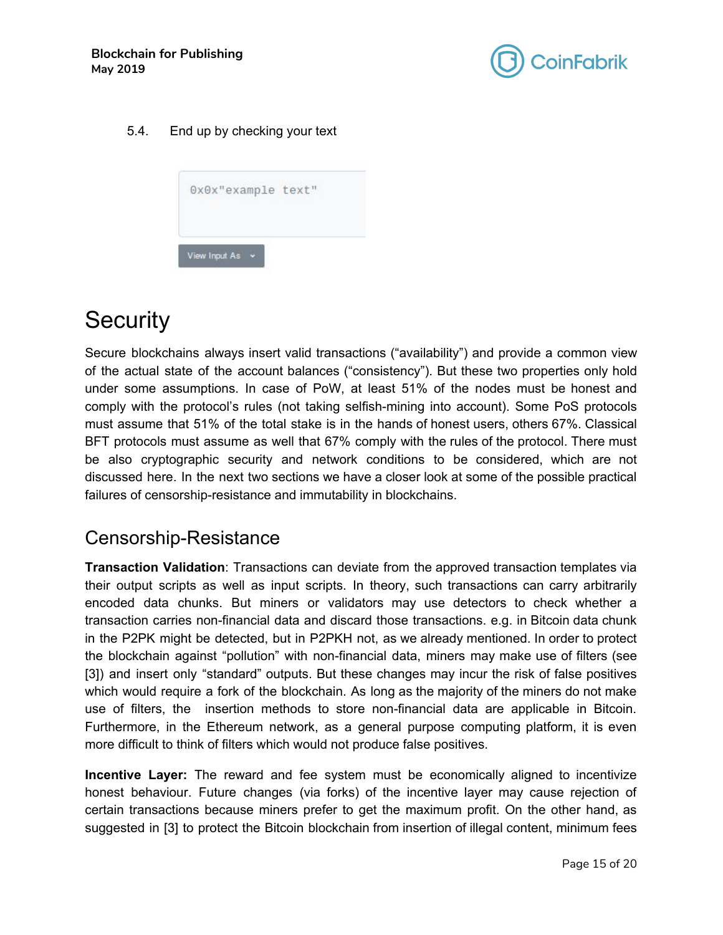

#### 5.4. End up by checking your text

|               | 0x0x"example text" |  |  |
|---------------|--------------------|--|--|
|               |                    |  |  |
| View Input As |                    |  |  |

# <span id="page-14-0"></span>**Security**

Secure blockchains always insert valid transactions ("availability") and provide a common view of the actual state of the account balances ("consistency"). But these two properties only hold under some assumptions. In case of PoW, at least 51% of the nodes must be honest and comply with the protocol's rules (not taking selfish-mining into account). Some PoS protocols must assume that 51% of the total stake is in the hands of honest users, others 67%. Classical BFT protocols must assume as well that 67% comply with the rules of the protocol. There must be also cryptographic security and network conditions to be considered, which are not discussed here. In the next two sections we have a closer look at some of the possible practical failures of censorship-resistance and immutability in blockchains.

### <span id="page-14-1"></span>Censorship-Resistance

**Transaction Validation**: Transactions can deviate from the approved transaction templates via their output scripts as well as input scripts. In theory, such transactions can carry arbitrarily encoded data chunks. But miners or validators may use detectors to check whether a transaction carries non-financial data and discard those transactions. e.g. in Bitcoin data chunk in the P2PK might be detected, but in P2PKH not, as we already mentioned. In order to protect the blockchain against "pollution" with non-financial data, miners may make use of filters (see [3]) and insert only "standard" outputs. But these changes may incur the risk of false positives which would require a fork of the blockchain. As long as the majority of the miners do not make use of filters, the insertion methods to store non-financial data are applicable in Bitcoin. Furthermore, in the Ethereum network, as a general purpose computing platform, it is even more difficult to think of filters which would not produce false positives.

**Incentive Layer:** The reward and fee system must be economically aligned to incentivize honest behaviour. Future changes (via forks) of the incentive layer may cause rejection of certain transactions because miners prefer to get the maximum profit. On the other hand, as suggested in [3] to protect the Bitcoin blockchain from insertion of illegal content, minimum fees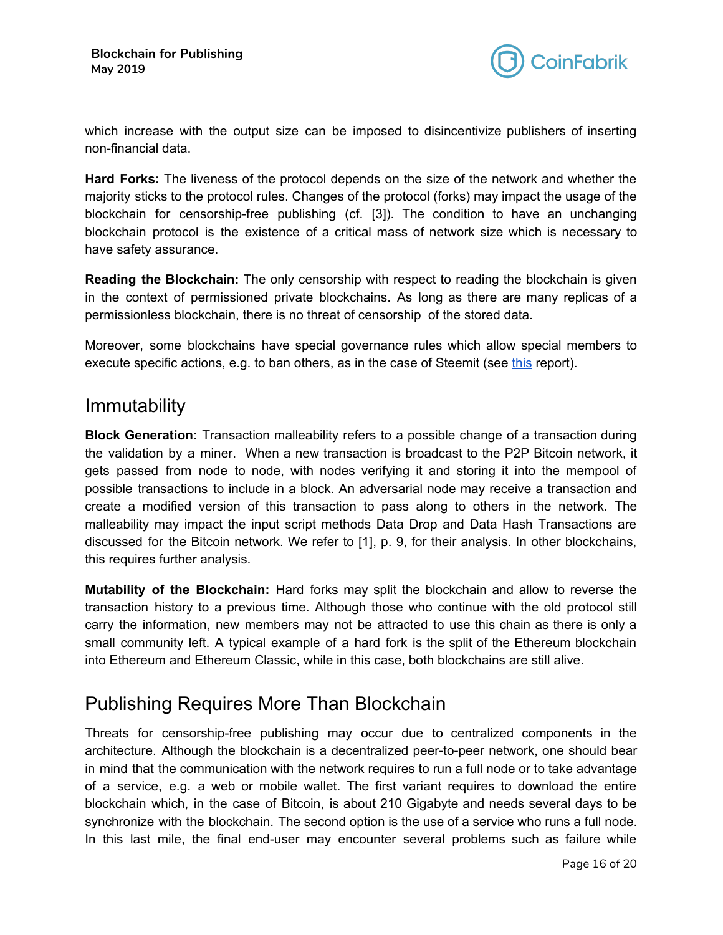

which increase with the output size can be imposed to disincentivize publishers of inserting non-financial data.

**Hard Forks:** The liveness of the protocol depends on the size of the network and whether the majority sticks to the protocol rules. Changes of the protocol (forks) may impact the usage of the blockchain for censorship-free publishing (cf. [3]). The condition to have an unchanging blockchain protocol is the existence of a critical mass of network size which is necessary to have safety assurance.

**Reading the Blockchain:** The only censorship with respect to reading the blockchain is given in the context of permissioned private blockchains. As long as there are many replicas of a permissionless blockchain, there is no threat of censorship of the stored data.

Moreover, some blockchains have special governance rules which allow special members to execute specific actions, e.g. to ban others, as in the case of Steemit (see [this](https://news.bitcoin.com/immutability-questioned-after-steemit-blog-bans-9-11-blackmailers-account/) report).

### <span id="page-15-0"></span>**Immutability**

**Block Generation:** Transaction malleability refers to a possible change of a transaction during the validation by a miner. When a new transaction is broadcast to the P2P Bitcoin network, it gets passed from node to node, with nodes verifying it and storing it into the mempool of possible transactions to include in a block. An adversarial node may receive a transaction and create a modified version of this transaction to pass along to others in the network. The malleability may impact the input script methods Data Drop and Data Hash Transactions are discussed for the Bitcoin network. We refer to [1], p. 9, for their analysis. In other blockchains, this requires further analysis.

**Mutability of the Blockchain:** Hard forks may split the blockchain and allow to reverse the transaction history to a previous time. Although those who continue with the old protocol still carry the information, new members may not be attracted to use this chain as there is only a small community left. A typical example of a hard fork is the split of the Ethereum blockchain into Ethereum and Ethereum Classic, while in this case, both blockchains are still alive.

# <span id="page-15-1"></span>Publishing Requires More Than Blockchain

Threats for censorship-free publishing may occur due to centralized components in the architecture. Although the blockchain is a decentralized peer-to-peer network, one should bear in mind that the communication with the network requires to run a full node or to take advantage of a service, e.g. a web or mobile wallet. The first variant requires to download the entire blockchain which, in the case of Bitcoin, is about 210 Gigabyte and needs several days to be synchronize with the blockchain. The second option is the use of a service who runs a full node. In this last mile, the final end-user may encounter several problems such as failure while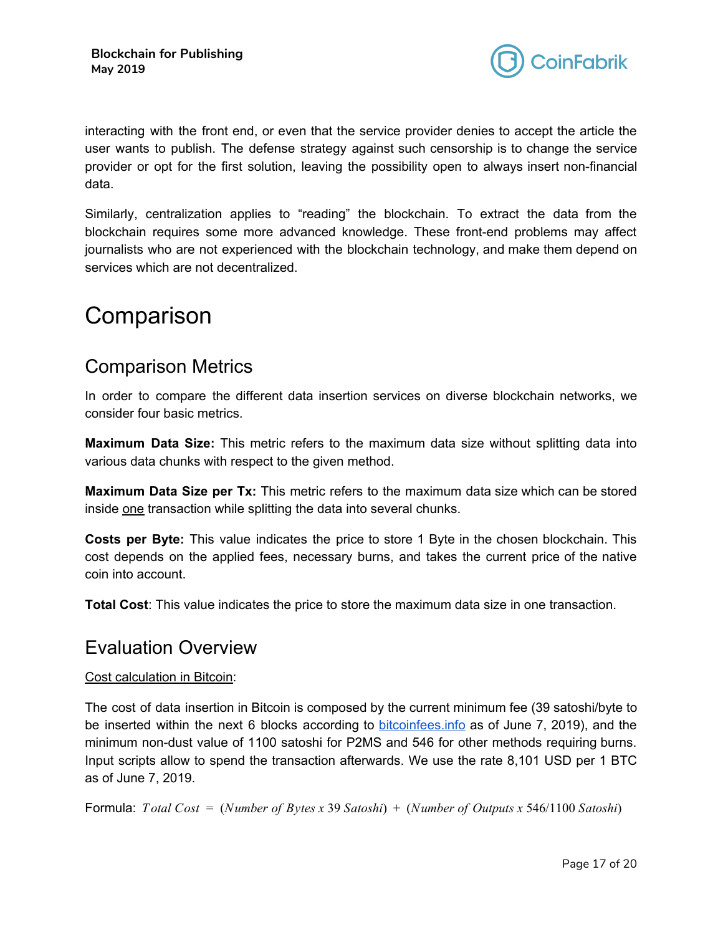

interacting with the front end, or even that the service provider denies to accept the article the user wants to publish. The defense strategy against such censorship is to change the service provider or opt for the first solution, leaving the possibility open to always insert non-financial data.

Similarly, centralization applies to "reading" the blockchain. To extract the data from the blockchain requires some more advanced knowledge. These front-end problems may affect journalists who are not experienced with the blockchain technology, and make them depend on services which are not decentralized.

# <span id="page-16-0"></span>**Comparison**

## <span id="page-16-1"></span>Comparison Metrics

In order to compare the different data insertion services on diverse blockchain networks, we consider four basic metrics.

**Maximum Data Size:** This metric refers to the maximum data size without splitting data into various data chunks with respect to the given method.

**Maximum Data Size per Tx:** This metric refers to the maximum data size which can be stored inside one transaction while splitting the data into several chunks.

**Costs per Byte:** This value indicates the price to store 1 Byte in the chosen blockchain. This cost depends on the applied fees, necessary burns, and takes the current price of the native coin into account.

**Total Cost**: This value indicates the price to store the maximum data size in one transaction.

### <span id="page-16-2"></span>Evaluation Overview

### Cost calculation in Bitcoin:

The cost of data insertion in Bitcoin is composed by the current minimum fee (39 satoshi/byte to be inserted within the next 6 blocks according to [bitcoinfees.info](https://bitcoinfees.info/) as of June 7, 2019), and the minimum non-dust value of 1100 satoshi for P2MS and 546 for other methods requiring burns. Input scripts allow to spend the transaction afterwards. We use the rate 8,101 USD per 1 BTC as of June 7, 2019.

Formula: *Total Cost* = (*Number of Bytes x* 39 *Satoshi*) + (*Number of Outputs x* 546/1100 *Satoshi*)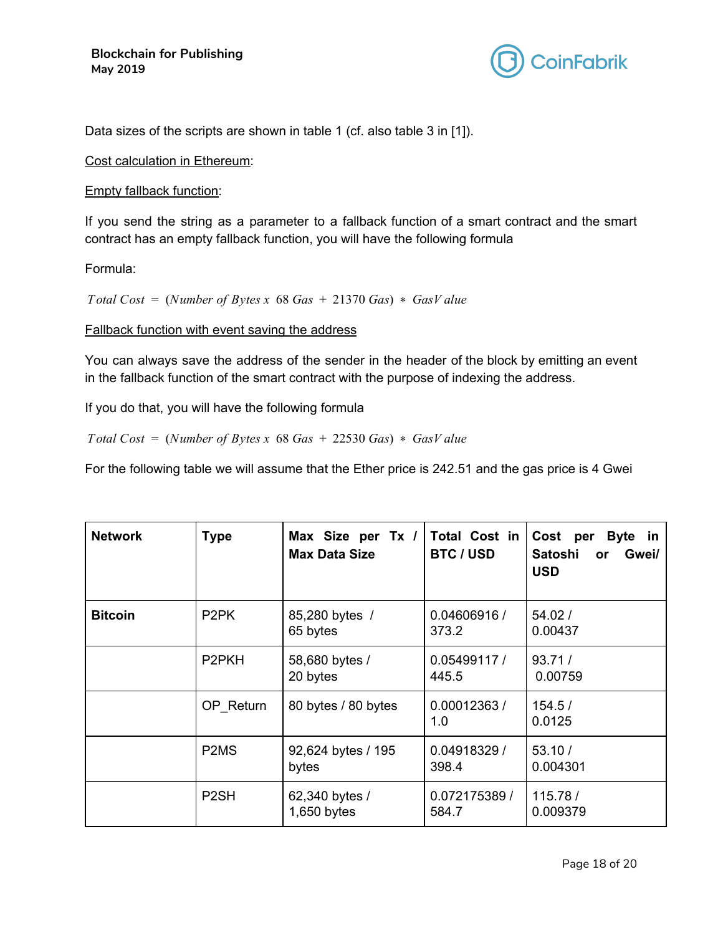

Data sizes of the scripts are shown in table 1 (cf. also table 3 in [1]).

Cost calculation in Ethereum:

#### Empty fallback function:

If you send the string as a parameter to a fallback function of a smart contract and the smart contract has an empty fallback function, you will have the following formula

#### Formula:

*Total*  $Cost = (Number of *Bytes* x 68 Gas + 21370 Gas) * GasValue$ 

Fallback function with event saving the address

You can always save the address of the sender in the header of the block by emitting an event in the fallback function of the smart contract with the purpose of indexing the address.

If you do that, you will have the following formula

*Total Cost* = (*Number of Bytes x* 68 *Gas* + 22530 *Gas*) \* *GasV alue*

For the following table we will assume that the Ether price is 242.51 and the gas price is 4 Gwei

| <b>Network</b> | <b>Type</b>                   | Max Size per Tx /<br><b>Max Data Size</b> | Total Cost in<br><b>BTC / USD</b> | Cost per Byte in<br>Satoshi<br>Gwei/<br><b>or</b><br><b>USD</b> |
|----------------|-------------------------------|-------------------------------------------|-----------------------------------|-----------------------------------------------------------------|
| <b>Bitcoin</b> | P <sub>2</sub> PK             | 85,280 bytes /<br>65 bytes                | 0.04606916 /<br>373.2             | 54.02/<br>0.00437                                               |
|                | P <sub>2</sub> PKH            | 58,680 bytes /<br>20 bytes                | 0.05499117 /<br>445.5             | 93.71/<br>0.00759                                               |
|                | OP Return                     | 80 bytes / 80 bytes                       | 0.00012363/<br>1.0                | 154.5/<br>0.0125                                                |
|                | P <sub>2</sub> M <sub>S</sub> | 92,624 bytes / 195<br>bytes               | 0.04918329 /<br>398.4             | 53.10/<br>0.004301                                              |
|                | P <sub>2</sub> SH             | 62,340 bytes /<br>$1,650$ bytes           | 0.072175389 /<br>584.7            | 115.78/<br>0.009379                                             |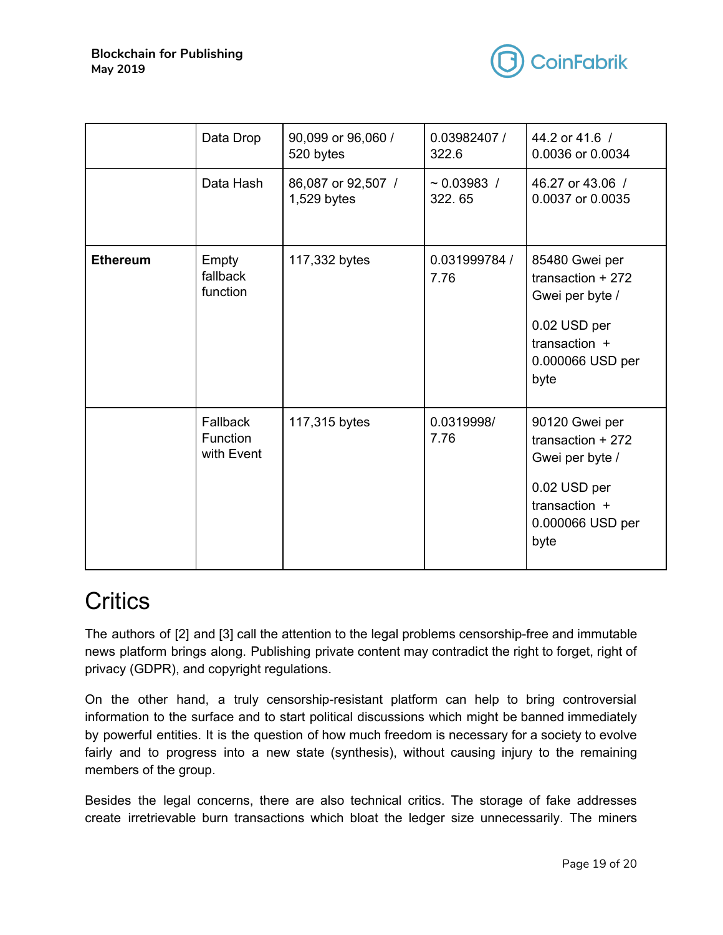

|                 | Data Drop                                 | 90,099 or 96,060 /<br>520 bytes     | 0.03982407 /<br>322.6      | 44.2 or 41.6 /<br>0.0036 or 0.0034                                                                                   |
|-----------------|-------------------------------------------|-------------------------------------|----------------------------|----------------------------------------------------------------------------------------------------------------------|
|                 | Data Hash                                 | 86,087 or 92,507 /<br>$1,529$ bytes | $\sim 0.03983$ /<br>322.65 | 46.27 or 43.06 /<br>0.0037 or 0.0035                                                                                 |
| <b>Ethereum</b> | Empty<br>fallback<br>function             | 117,332 bytes                       | 0.031999784 /<br>7.76      | 85480 Gwei per<br>transaction $+272$<br>Gwei per byte /<br>0.02 USD per<br>transaction +<br>0.000066 USD per<br>byte |
|                 | Fallback<br><b>Function</b><br>with Event | 117,315 bytes                       | 0.0319998/<br>7.76         | 90120 Gwei per<br>transaction $+272$<br>Gwei per byte /<br>0.02 USD per<br>transaction +<br>0.000066 USD per<br>byte |

# <span id="page-18-0"></span>**Critics**

The authors of [2] and [3] call the attention to the legal problems censorship-free and immutable news platform brings along. Publishing private content may contradict the right to forget, right of privacy (GDPR), and copyright regulations.

On the other hand, a truly censorship-resistant platform can help to bring controversial information to the surface and to start political discussions which might be banned immediately by powerful entities. It is the question of how much freedom is necessary for a society to evolve fairly and to progress into a new state (synthesis), without causing injury to the remaining members of the group.

Besides the legal concerns, there are also technical critics. The storage of fake addresses create irretrievable burn transactions which bloat the ledger size unnecessarily. The miners